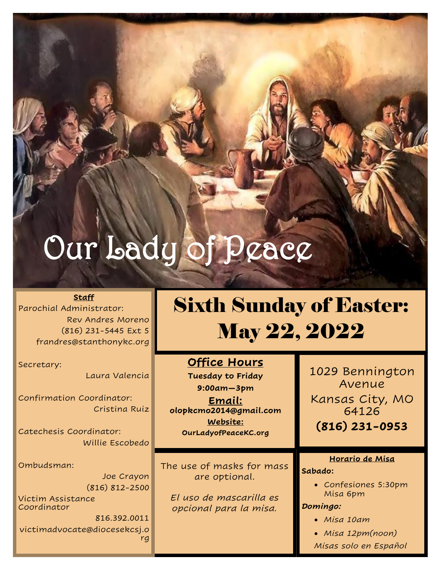# Our Lady of Peace

#### **Staff**

Parochial Administrator: Rev Andres Moreno (816) 231-5445 Ext 5 frandres@stanthonykc.org

Secretary:

Laura Valencia

Confirmation Coordinator: Cristina Ruiz

Catechesis Coordinator: Willie Escobedo

Ombudsman:

Joe Crayon (816) 812-2500

Victim Assistance Coordinator

816.392.0011 victimadvocate@diocesekcsj.o rg

## Sixth Sunday of Easter: May 22, 2022

**Office Hours**

**Tuesday to Friday 9:00am—3pm**

**Email: olopkcmo2014@gmail.com Website: OurLadyofPeaceKC.org**

The use of masks for mass are optional.

*El uso de mascarilla es opcional para la misa.* 

1029 Bennington Avenue Kansas City, MO 64126 **(816) 231-0953**

#### **Horario de Misa**

#### **Sabado:**

• Confesiones 5:30pm Misa 6pm

*Domingo:*

- *Misa 10am*
- *Misa 12pm(noon)*

*Misas solo en Español*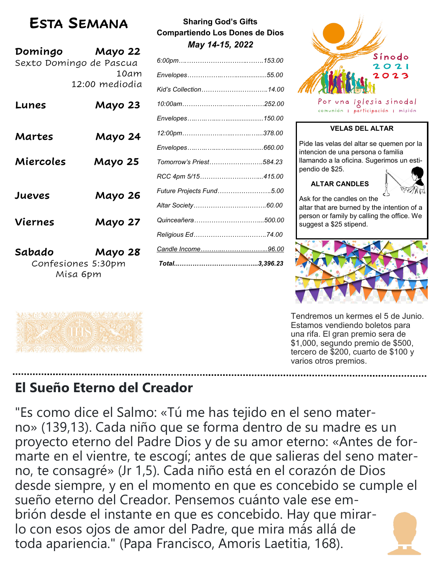## **ESTA SEMANA**

| Domingo   | Mayo 22<br>Sexto Domingo de Pascua<br>10am<br>12:00 mediodia |
|-----------|--------------------------------------------------------------|
| Lunes     | Mayo 23                                                      |
| Martes    | Mayo 24                                                      |
| Miercoles | Mayo 25                                                      |
| Jueves    | Mayo 26                                                      |
| Viernes   | Mayo 27                                                      |
| Sabado    | Mayo 28<br>Confesiones 5:30nm                                |

Confesiones 5:30pm Misa 6pm

ARACAR ATHILIA SASA SALA

ASS ACTAC MINING ON OR ON SE

| <b>Sharing God's Gifts</b>     |
|--------------------------------|
| Compartiendo Los Dones de Dios |
| May 14-15, 2022                |

| Kid's Collection14.00    |  |
|--------------------------|--|
|                          |  |
|                          |  |
|                          |  |
|                          |  |
| Tomorrow's Priest584.23  |  |
| RCC 4pm 5/15415.00       |  |
| Future Projects Fund5.00 |  |
|                          |  |
|                          |  |
| Religious Ed74.00        |  |
|                          |  |
|                          |  |



Por una Iglesia sinodal comunión | participación | misión

### **VELAS DEL ALTAR**

Pide las velas del altar se quemen por la intencion de una persona o familia llamando a la oficina. Sugerimos un estipendio de \$25.

## **ALTAR CANDLES**



Ask for the candles on the altar that are burned by the intention of a person or family by calling the office. We suggest a \$25 stipend.



Tendremos un kermes el 5 de Junio. Estamos vendiendo boletos para una rifa. El gran premio sera de \$1,000, segundo premio de \$500, tercero de \$200, cuarto de \$100 y varios otros premios.

## **El Sueño Eterno del Creador**

"Es como dice el Salmo: «Tú me has tejido en el seno materno» (139,13). Cada niño que se forma dentro de su madre es un proyecto eterno del Padre Dios y de su amor eterno: «Antes de formarte en el vientre, te escogí; antes de que salieras del seno materno, te consagré» (Jr 1,5). Cada niño está en el corazón de Dios desde siempre, y en el momento en que es concebido se cumple el sueño eterno del Creador. Pensemos cuánto vale ese embrión desde el instante en que es concebido. Hay que mirarlo con esos ojos de amor del Padre, que mira más allá de toda apariencia." (Papa Francisco, Amoris Laetitia, 168).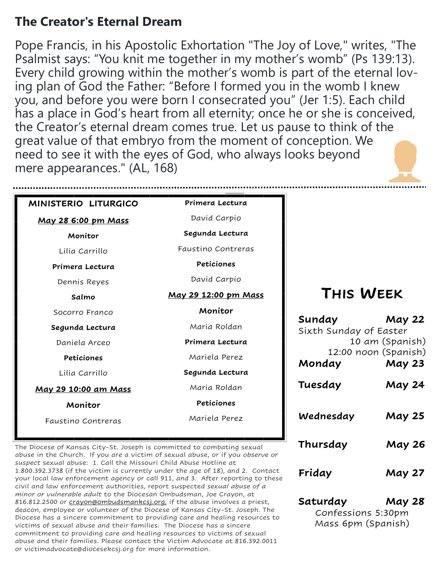## **The Creator's Eternal Dream**

Pope Francis, in his Apostolic Exhortation "The Joy of Love," writes, "The Psalmist says: "You knit me together in my mother's womb" (Ps 139:13). Every child growing within the mother's womb is part of the eternal loving plan of God the Father: "Before I formed you in the womb I knew you, and before you were born I consecrated you" (Jer 1:5). Each child has a place in God's heart from all eternity; once he or she is conceived, the Creator's eternal dream comes true. Let us pause to think of the great value of that embryo from the moment of conception. We need to see it with the eyes of God, who always looks beyond mere appearances." (AL, 168)

| MINISTERIO LITURGICO | Primera Lectura      |                                  |                                       |
|----------------------|----------------------|----------------------------------|---------------------------------------|
| May 28 6:00 pm Mass  | David Carpio         |                                  |                                       |
| Monitor              | Segunda Lectura      |                                  |                                       |
| Lilia Carrillo       | Faustino Contreras   |                                  |                                       |
| Primera Lectura      | Peticiones           |                                  |                                       |
| Dennis Reyes         | David Carpio         |                                  |                                       |
| Salmo                | May 29 12:00 pm Mass | THIS WEEK                        |                                       |
| Socorro Franco       | Monitor              |                                  |                                       |
| Segunda Lectura      | Maria Roldan         | Sunday<br>Sixth Sunday of Easter | <b>May 22</b>                         |
| Daniela Arceo        | Primera Lectura      |                                  | 10 am (Spanish)                       |
| Peticiones           | Mariela Perez        | Monday                           | 12:00 noon (Spanish)<br><b>May 23</b> |
| Lilia Carrillo       | Segunda Lectura      |                                  |                                       |
| May 29 10:00 am Mass | Maria Roldan         | Tuesday                          | <b>May 24</b>                         |
| Monitor              | Peticiones           |                                  |                                       |
| Faustino Contreras   | Mariela Perez        | Wednesday                        | <b>May 25</b>                         |

The Diocese of Kansas City-St. Joseph is committed to combating sexual abuse in the Church. If you are a victim of sexual abuse, or if you *observe or suspect* sexual abuse: 1. Call the Missouri Child Abuse Hotline at 1.800.392.3738 (if the victim is currently under the age of 18), and 2. Contact your local law enforcement agency or call 911, and 3. After reporting to these civil and law enforcement authorities, report suspected *sexual abuse of a minor or vulnerable adult* to the Diocesan Ombudsman, Joe Crayon, at 816.812.2500 or [crayon@ombudsmankcsj.org,](mailto:crayon@ombudsmankcsj.org) if the abuse involves a priest, deacon, employee or volunteer of the Diocese of Kansas City-St. Joseph. The Diocese has a sincere commitment to providing care and healing resources to victims of sexual abuse and their families. The Diocese has a sincere commitment to providing care and healing resources to victims of sexual abuse and their families. Please contact the Victim Advocate at 816.392.0011 or victimadvocate@diocesekcsj.org for more information.

| $-$ 5111557            | 52                   |
|------------------------|----------------------|
| Sixth Sunday of Easter |                      |
|                        | 10 am (Spanish)      |
|                        | 12:00 noon (Spanish) |
| Monday                 | <b>May 23</b>        |
| Tuesday                | <b>May 24</b>        |
| Wednesday              | <b>May 25</b>        |
| Thursday               | <b>May 26</b>        |
| Friday                 | <b>May 27</b>        |

**Saturday May 28** Confessions 5:30pm Mass 6pm (Spanish)